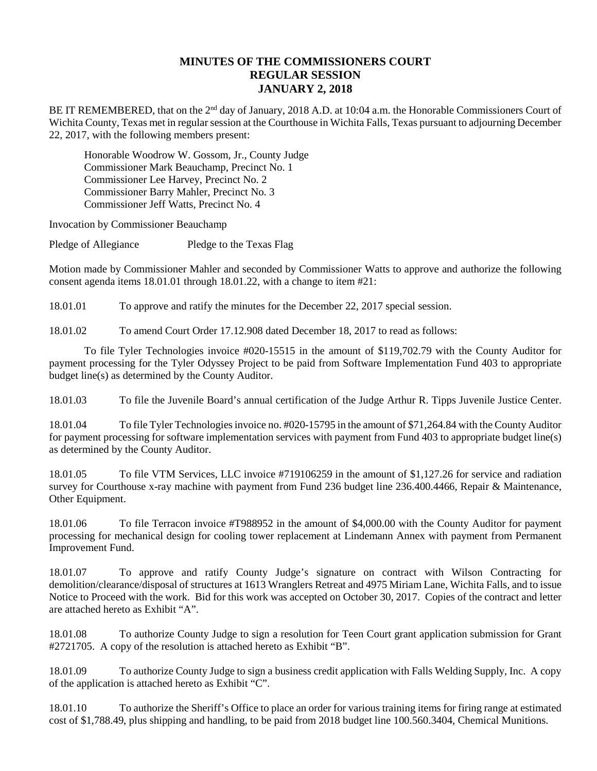## **MINUTES OF THE COMMISSIONERS COURT REGULAR SESSION JANUARY 2, 2018**

BE IT REMEMBERED, that on the 2<sup>nd</sup> day of January, 2018 A.D. at 10:04 a.m. the Honorable Commissioners Court of Wichita County, Texas met in regular session at the Courthouse in Wichita Falls, Texas pursuant to adjourning December 22, 2017, with the following members present:

Honorable Woodrow W. Gossom, Jr., County Judge Commissioner Mark Beauchamp, Precinct No. 1 Commissioner Lee Harvey, Precinct No. 2 Commissioner Barry Mahler, Precinct No. 3 Commissioner Jeff Watts, Precinct No. 4

Invocation by Commissioner Beauchamp

Pledge of Allegiance Pledge to the Texas Flag

Motion made by Commissioner Mahler and seconded by Commissioner Watts to approve and authorize the following consent agenda items 18.01.01 through 18.01.22, with a change to item #21:

18.01.01 To approve and ratify the minutes for the December 22, 2017 special session.

18.01.02 To amend Court Order 17.12.908 dated December 18, 2017 to read as follows:

To file Tyler Technologies invoice #020-15515 in the amount of \$119,702.79 with the County Auditor for payment processing for the Tyler Odyssey Project to be paid from Software Implementation Fund 403 to appropriate budget line(s) as determined by the County Auditor.

18.01.03 To file the Juvenile Board's annual certification of the Judge Arthur R. Tipps Juvenile Justice Center.

18.01.04 To file Tyler Technologies invoice no. #020-15795 in the amount of \$71,264.84 with the County Auditor for payment processing for software implementation services with payment from Fund 403 to appropriate budget line(s) as determined by the County Auditor.

18.01.05 To file VTM Services, LLC invoice #719106259 in the amount of \$1,127.26 for service and radiation survey for Courthouse x-ray machine with payment from Fund 236 budget line 236.400.4466, Repair & Maintenance, Other Equipment.

18.01.06 To file Terracon invoice #T988952 in the amount of \$4,000.00 with the County Auditor for payment processing for mechanical design for cooling tower replacement at Lindemann Annex with payment from Permanent Improvement Fund.

18.01.07 To approve and ratify County Judge's signature on contract with Wilson Contracting for demolition/clearance/disposal of structures at 1613 Wranglers Retreat and 4975 Miriam Lane, Wichita Falls, and to issue Notice to Proceed with the work. Bid for this work was accepted on October 30, 2017. Copies of the contract and letter are attached hereto as Exhibit "A".

18.01.08 To authorize County Judge to sign a resolution for Teen Court grant application submission for Grant #2721705. A copy of the resolution is attached hereto as Exhibit "B".

18.01.09 To authorize County Judge to sign a business credit application with Falls Welding Supply, Inc. A copy of the application is attached hereto as Exhibit "C".

18.01.10 To authorize the Sheriff's Office to place an order for various training items for firing range at estimated cost of \$1,788.49, plus shipping and handling, to be paid from 2018 budget line 100.560.3404, Chemical Munitions.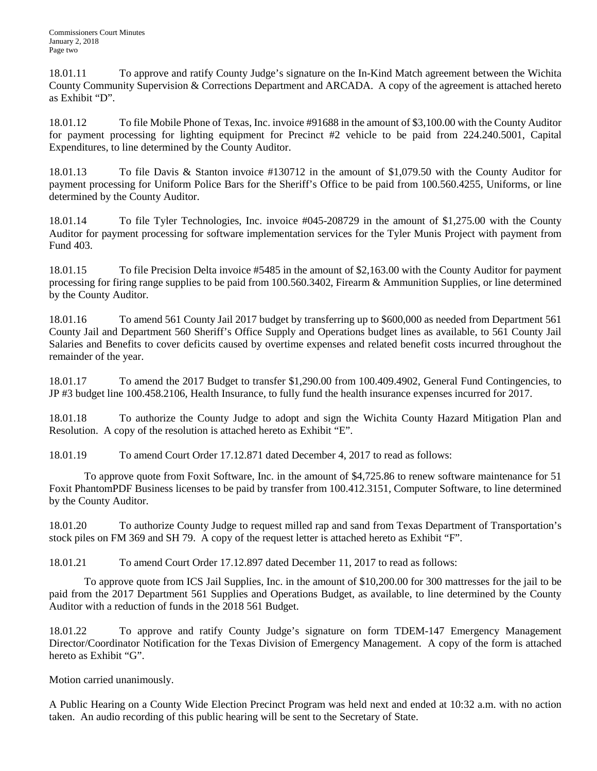18.01.11 To approve and ratify County Judge's signature on the In-Kind Match agreement between the Wichita County Community Supervision & Corrections Department and ARCADA. A copy of the agreement is attached hereto as Exhibit "D".

18.01.12 To file Mobile Phone of Texas, Inc. invoice #91688 in the amount of \$3,100.00 with the County Auditor for payment processing for lighting equipment for Precinct #2 vehicle to be paid from 224.240.5001, Capital Expenditures, to line determined by the County Auditor.

18.01.13 To file Davis & Stanton invoice #130712 in the amount of \$1,079.50 with the County Auditor for payment processing for Uniform Police Bars for the Sheriff's Office to be paid from 100.560.4255, Uniforms, or line determined by the County Auditor.

18.01.14 To file Tyler Technologies, Inc. invoice #045-208729 in the amount of \$1,275.00 with the County Auditor for payment processing for software implementation services for the Tyler Munis Project with payment from Fund 403.

18.01.15 To file Precision Delta invoice #5485 in the amount of \$2,163.00 with the County Auditor for payment processing for firing range supplies to be paid from 100.560.3402, Firearm & Ammunition Supplies, or line determined by the County Auditor.

18.01.16 To amend 561 County Jail 2017 budget by transferring up to \$600,000 as needed from Department 561 County Jail and Department 560 Sheriff's Office Supply and Operations budget lines as available, to 561 County Jail Salaries and Benefits to cover deficits caused by overtime expenses and related benefit costs incurred throughout the remainder of the year.

18.01.17 To amend the 2017 Budget to transfer \$1,290.00 from 100.409.4902, General Fund Contingencies, to JP #3 budget line 100.458.2106, Health Insurance, to fully fund the health insurance expenses incurred for 2017.

18.01.18 To authorize the County Judge to adopt and sign the Wichita County Hazard Mitigation Plan and Resolution. A copy of the resolution is attached hereto as Exhibit "E".

18.01.19 To amend Court Order 17.12.871 dated December 4, 2017 to read as follows:

To approve quote from Foxit Software, Inc. in the amount of \$4,725.86 to renew software maintenance for 51 Foxit PhantomPDF Business licenses to be paid by transfer from 100.412.3151, Computer Software, to line determined by the County Auditor.

18.01.20 To authorize County Judge to request milled rap and sand from Texas Department of Transportation's stock piles on FM 369 and SH 79. A copy of the request letter is attached hereto as Exhibit "F".

18.01.21 To amend Court Order 17.12.897 dated December 11, 2017 to read as follows:

To approve quote from ICS Jail Supplies, Inc. in the amount of \$10,200.00 for 300 mattresses for the jail to be paid from the 2017 Department 561 Supplies and Operations Budget, as available, to line determined by the County Auditor with a reduction of funds in the 2018 561 Budget.

18.01.22 To approve and ratify County Judge's signature on form TDEM-147 Emergency Management Director/Coordinator Notification for the Texas Division of Emergency Management. A copy of the form is attached hereto as Exhibit "G".

Motion carried unanimously.

A Public Hearing on a County Wide Election Precinct Program was held next and ended at 10:32 a.m. with no action taken. An audio recording of this public hearing will be sent to the Secretary of State.